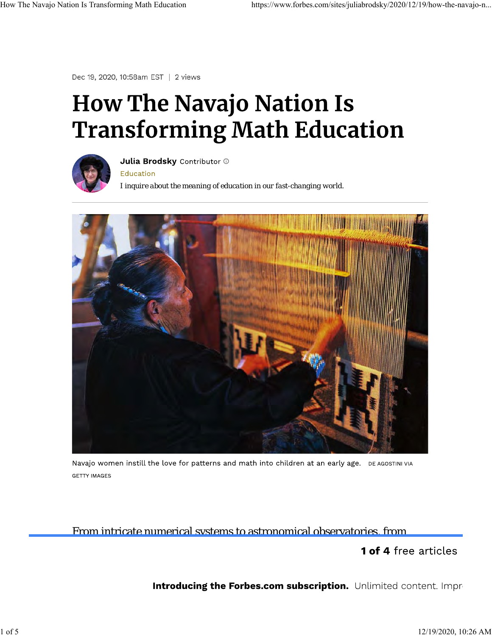Dec 19, 2020, 10:58am EST | 2 views

## **How The Navajo Nation Is Transforming Math Education**



Julia Brodsky Contributor ® Education *I inquire about the meaning of education in our fast-changing world.*



Navajo women instill the love for patterns and math into children at an early age. DE AGOSTINI VIA **GETTY IMAGES** 

## From intricate numerical systems to astronomical observatories, from

**1 of 4** free articles

Introducing the Forbes.com subscription. Unlimited content. Impre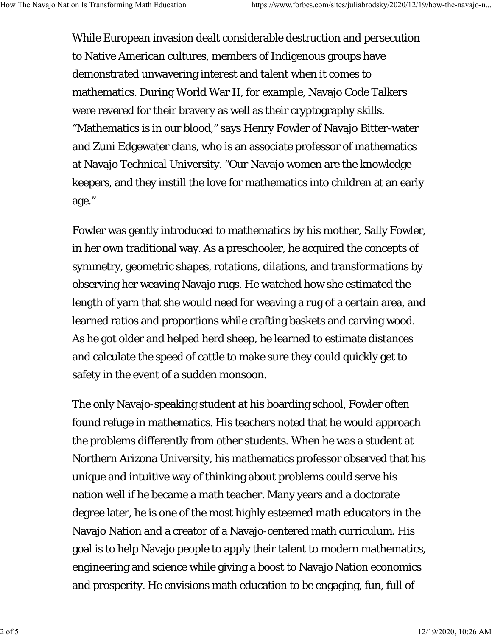While European invasion dealt considerable destruction and persecution to Native American cultures, members of Indigenous groups have demonstrated unwavering interest and talent when it comes to mathematics. During World War II, for example, Navajo Code Talkers were revered for their bravery as well as their cryptography skills. "Mathematics is in our blood," says Henry Fowler of Navajo Bitter-water and Zuni Edgewater clans, who is an associate professor of mathematics at Navajo Technical University. "Our Navajo women are the knowledge keepers, and they instill the love for mathematics into children at an early age."

Fowler was gently introduced to mathematics by his mother, Sally Fowler, in her own traditional way. As a preschooler, he acquired the concepts of symmetry, geometric shapes, rotations, dilations, and transformations by observing her weaving Navajo rugs. He watched how she estimated the length of yarn that she would need for weaving a rug of a certain area, and learned ratios and proportions while crafting baskets and carving wood. As he got older and helped herd sheep, he learned to estimate distances and calculate the speed of cattle to make sure they could quickly get to safety in the event of a sudden monsoon.

The only Navajo-speaking student at his boarding school, Fowler often found refuge in mathematics. His teachers noted that he would approach the problems differently from other students. When he was a student at Northern Arizona University, his mathematics professor observed that his unique and intuitive way of thinking about problems could serve his nation well if he became a math teacher. Many years and a doctorate degree later, he is one of the most highly esteemed math educators in the Navajo Nation and a creator of a Navajo-centered math curriculum. His goal is to help Navajo people to apply their talent to modern mathematics, engineering and science while giving a boost to Navajo Nation economics and prosperity. He envisions math education to be engaging, fun, full of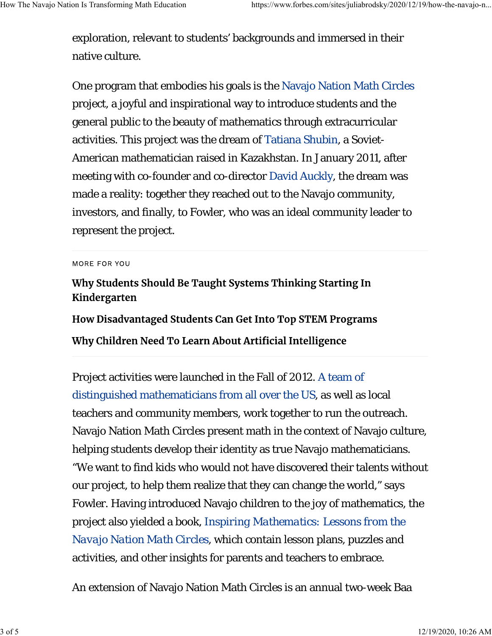exploration, relevant to students' backgrounds and immersed in their native culture.

One program that embodies his goals is the Navajo Nation Math Circles project, a joyful and inspirational way to introduce students and the general public to the beauty of mathematics through extracurricular activities. This project was the dream of Tatiana Shubin, a Soviet-American mathematician raised in Kazakhstan. In January 2011, after meeting with co-founder and co-director David Auckly, the dream was made a reality: together they reached out to the Navajo community, investors, and finally, to Fowler, who was an ideal community leader to represent the project.

MORE FOR YOU

Why Students Should Be Taught Systems Thinking Starting In Kindergarten

How Disadvantaged Students Can Get Into Top STEM Programs Why Children Need To Learn About Artificial Intelligence

Project activities were launched in the Fall of 2012. A team of distinguished mathematicians from all over the US, as well as local teachers and community members, work together to run the outreach. Navajo Nation Math Circles present math in the context of Navajo culture, helping students develop their identity as true Navajo mathematicians. "We want to find kids who would not have discovered their talents without our project, to help them realize that they can change the world," says Fowler. Having introduced Navajo children to the joy of mathematics, the project also yielded a book, *Inspiring Mathematics: Lessons from the Navajo Nation Math Circles*, which contain lesson plans, puzzles and activities, and other insights for parents and teachers to embrace.

An extension of Navajo Nation Math Circles is an annual two-week Baa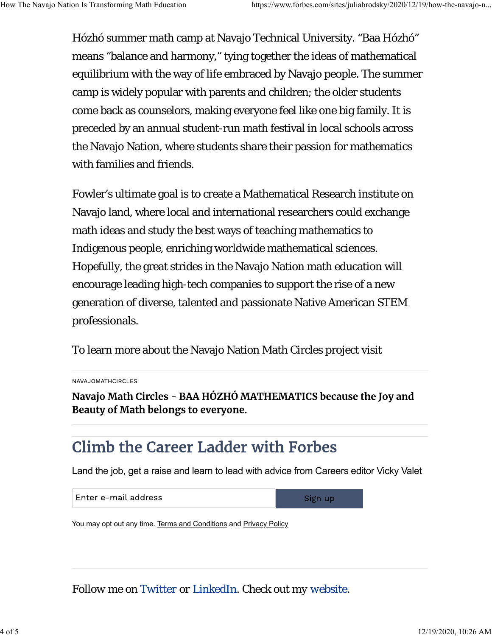Hózhó summer math camp at Navajo Technical University. "Baa Hózhó" means "balance and harmony," tying together the ideas of mathematical equilibrium with the way of life embraced by Navajo people. The summer camp is widely popular with parents and children; the older students come back as counselors, making everyone feel like one big family. It is preceded by an annual student-run math festival in local schools across the Navajo Nation, where students share their passion for mathematics with families and friends.

Fowler's ultimate goal is to create a Mathematical Research institute on Navajo land, where local and international researchers could exchange math ideas and study the best ways of teaching mathematics to Indigenous people, enriching worldwide mathematical sciences. Hopefully, the great strides in the Navajo Nation math education will encourage leading high-tech companies to support the rise of a new generation of diverse, talented and passionate Native American STEM professionals.

To learn more about the Navajo Nation Math Circles project visit

NAVAJOMATHCIRCLES

Navajo Math Circles - BAA HÓZHÓ MATHEMATICS because the Joy and Beauty of Math belongs to everyone.

## **Climb the Career Ladder with Forbes**

Land the job, get a raise and learn to lead with advice from Careers editor Vicky Valet

| Enter e-mail address | Sign up |
|----------------------|---------|
|----------------------|---------|

You may opt out any time. Terms and Conditions and Privacy Policy

*Follow me on Twitter or LinkedIn. Check out my website.*